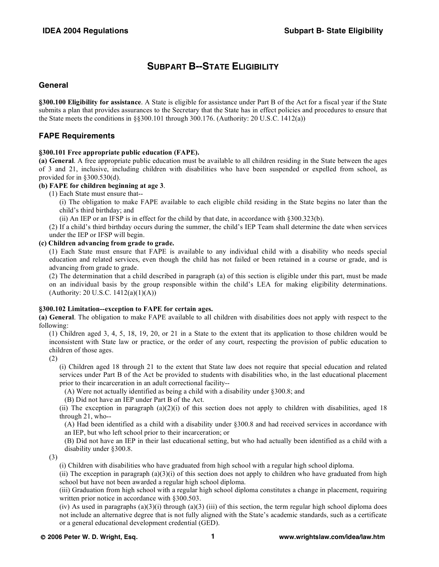# **SUBPART B--STATE ELIGIBILITY**

## **General**

**§300.100 Eligibility for assistance**. A State is eligible for assistance under Part B of the Act for a fiscal year if the State submits a plan that provides assurances to the Secretary that the State has in effect policies and procedures to ensure that the State meets the conditions in §§300.101 through 300.176. (Authority: 20 U.S.C. 1412(a))

## **FAPE Requirements**

#### **§300.101 Free appropriate public education (FAPE).**

**(a) General**. A free appropriate public education must be available to all children residing in the State between the ages of 3 and 21, inclusive, including children with disabilities who have been suspended or expelled from school, as provided for in §300.530(d).

#### **(b) FAPE for children beginning at age 3**.

(1) Each State must ensure that--

(i) The obligation to make FAPE available to each eligible child residing in the State begins no later than the child's third birthday; and

(ii) An IEP or an IFSP is in effect for the child by that date, in accordance with §300.323(b).

(2) If a child's third birthday occurs during the summer, the child's IEP Team shall determine the date when services under the IEP or IFSP will begin.

#### **(c) Children advancing from grade to grade.**

(1) Each State must ensure that FAPE is available to any individual child with a disability who needs special education and related services, even though the child has not failed or been retained in a course or grade, and is advancing from grade to grade.

(2) The determination that a child described in paragraph (a) of this section is eligible under this part, must be made on an individual basis by the group responsible within the child's LEA for making eligibility determinations. (Authority: 20 U.S.C. 1412(a)(1)(A))

## **§300.102 Limitation--exception to FAPE for certain ages.**

**(a) General**. The obligation to make FAPE available to all children with disabilities does not apply with respect to the following:

(1) Children aged 3, 4, 5, 18, 19, 20, or 21 in a State to the extent that its application to those children would be inconsistent with State law or practice, or the order of any court, respecting the provision of public education to children of those ages.

(2)

(i) Children aged 18 through 21 to the extent that State law does not require that special education and related services under Part B of the Act be provided to students with disabilities who, in the last educational placement prior to their incarceration in an adult correctional facility--

(A) Were not actually identified as being a child with a disability under §300.8; and

(B) Did not have an IEP under Part B of the Act.

(ii) The exception in paragraph  $(a)(2)(i)$  of this section does not apply to children with disabilities, aged 18 through 21, who--

(A) Had been identified as a child with a disability under §300.8 and had received services in accordance with an IEP, but who left school prior to their incarceration; or

(B) Did not have an IEP in their last educational setting, but who had actually been identified as a child with a disability under §300.8.

(3)

(i) Children with disabilities who have graduated from high school with a regular high school diploma.

(ii) The exception in paragraph  $(a)(3)(i)$  of this section does not apply to children who have graduated from high school but have not been awarded a regular high school diploma.

(iii) Graduation from high school with a regular high school diploma constitutes a change in placement, requiring written prior notice in accordance with §300.503.

(iv) As used in paragraphs  $(a)(3)(i)$  through  $(a)(3)$  (iii) of this section, the term regular high school diploma does not include an alternative degree that is not fully aligned with the State's academic standards, such as a certificate or a general educational development credential (GED).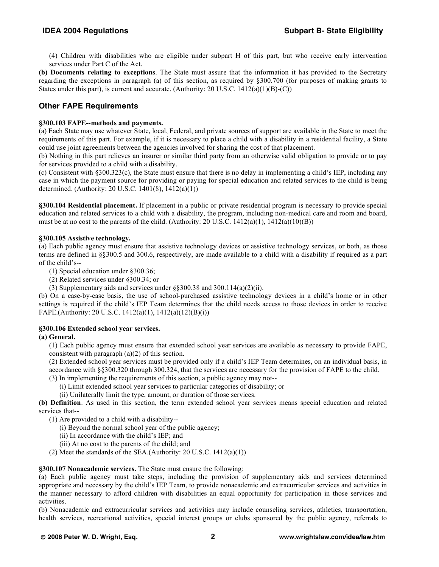(4) Children with disabilities who are eligible under subpart H of this part, but who receive early intervention services under Part C of the Act.

**(b) Documents relating to exceptions**. The State must assure that the information it has provided to the Secretary regarding the exceptions in paragraph (a) of this section, as required by §300.700 (for purposes of making grants to States under this part), is current and accurate. (Authority:  $20 \text{ U.S.C. } 1412(a)(1)(B)-(C)$ )

## **Other FAPE Requirements**

#### **§300.103 FAPE--methods and payments.**

(a) Each State may use whatever State, local, Federal, and private sources of support are available in the State to meet the requirements of this part. For example, if it is necessary to place a child with a disability in a residential facility, a State could use joint agreements between the agencies involved for sharing the cost of that placement.

(b) Nothing in this part relieves an insurer or similar third party from an otherwise valid obligation to provide or to pay for services provided to a child with a disability.

(c) Consistent with §300.323(c), the State must ensure that there is no delay in implementing a child's IEP, including any case in which the payment source for providing or paying for special education and related services to the child is being determined. (Authority: 20 U.S.C. 1401(8), 1412(a)(1))

**§300.104 Residential placement.** If placement in a public or private residential program is necessary to provide special education and related services to a child with a disability, the program, including non-medical care and room and board, must be at no cost to the parents of the child. (Authority: 20 U.S.C. 1412(a)(1), 1412(a)(10)(B))

#### **§300.105 Assistive technology.**

(a) Each public agency must ensure that assistive technology devices or assistive technology services, or both, as those terms are defined in §§300.5 and 300.6, respectively, are made available to a child with a disability if required as a part of the child's--

- (1) Special education under §300.36;
- (2) Related services under §300.34; or
- (3) Supplementary aids and services under §§300.38 and 300.114(a)(2)(ii).

(b) On a case-by-case basis, the use of school-purchased assistive technology devices in a child's home or in other settings is required if the child's IEP Team determines that the child needs access to those devices in order to receive FAPE.(Authority: 20 U.S.C. 1412(a)(1), 1412(a)(12)(B)(i))

#### **§300.106 Extended school year services.**

#### **(a) General.**

(1) Each public agency must ensure that extended school year services are available as necessary to provide FAPE, consistent with paragraph (a)(2) of this section.

(2) Extended school year services must be provided only if a child's IEP Team determines, on an individual basis, in accordance with §§300.320 through 300.324, that the services are necessary for the provision of FAPE to the child.

- (3) In implementing the requirements of this section, a public agency may not--
	- (i) Limit extended school year services to particular categories of disability; or
	- (ii) Unilaterally limit the type, amount, or duration of those services.

**(b) Definition**. As used in this section, the term extended school year services means special education and related services that--

- (1) Are provided to a child with a disability--
	- (i) Beyond the normal school year of the public agency;
	- (ii) In accordance with the child's IEP; and
	- (iii) At no cost to the parents of the child; and
- (2) Meet the standards of the SEA.(Authority:  $20$  U.S.C.  $1412(a)(1)$ )

#### **§300.107 Nonacademic services.** The State must ensure the following:

(a) Each public agency must take steps, including the provision of supplementary aids and services determined appropriate and necessary by the child's IEP Team, to provide nonacademic and extracurricular services and activities in the manner necessary to afford children with disabilities an equal opportunity for participation in those services and activities.

(b) Nonacademic and extracurricular services and activities may include counseling services, athletics, transportation, health services, recreational activities, special interest groups or clubs sponsored by the public agency, referrals to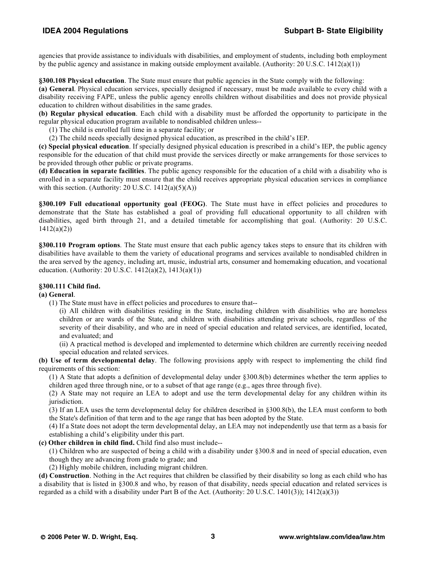agencies that provide assistance to individuals with disabilities, and employment of students, including both employment by the public agency and assistance in making outside employment available. (Authority: 20 U.S.C. 1412(a)(1))

**§300.108 Physical education**. The State must ensure that public agencies in the State comply with the following:

**(a) General**. Physical education services, specially designed if necessary, must be made available to every child with a disability receiving FAPE, unless the public agency enrolls children without disabilities and does not provide physical education to children without disabilities in the same grades.

**(b) Regular physical education**. Each child with a disability must be afforded the opportunity to participate in the regular physical education program available to nondisabled children unless--

(1) The child is enrolled full time in a separate facility; or

(2) The child needs specially designed physical education, as prescribed in the child's IEP.

**(c) Special physical education**. If specially designed physical education is prescribed in a child's IEP, the public agency responsible for the education of that child must provide the services directly or make arrangements for those services to be provided through other public or private programs.

**(d) Education in separate facilities**. The public agency responsible for the education of a child with a disability who is enrolled in a separate facility must ensure that the child receives appropriate physical education services in compliance with this section. (Authority:  $20$  U.S.C.  $1412(a)(5)(A)$ )

**§300.109 Full educational opportunity goal (FEOG)**. The State must have in effect policies and procedures to demonstrate that the State has established a goal of providing full educational opportunity to all children with disabilities, aged birth through 21, and a detailed timetable for accomplishing that goal. (Authority: 20 U.S.C.  $1412(a)(2)$ 

**§300.110 Program options**. The State must ensure that each public agency takes steps to ensure that its children with disabilities have available to them the variety of educational programs and services available to nondisabled children in the area served by the agency, including art, music, industrial arts, consumer and homemaking education, and vocational education. (Authority: 20 U.S.C. 1412(a)(2), 1413(a)(1))

#### **§300.111 Child find.**

**(a) General**.

(1) The State must have in effect policies and procedures to ensure that--

(i) All children with disabilities residing in the State, including children with disabilities who are homeless children or are wards of the State, and children with disabilities attending private schools, regardless of the severity of their disability, and who are in need of special education and related services, are identified, located, and evaluated; and

(ii) A practical method is developed and implemented to determine which children are currently receiving needed special education and related services.

**(b) Use of term developmental delay**. The following provisions apply with respect to implementing the child find requirements of this section:

(1) A State that adopts a definition of developmental delay under §300.8(b) determines whether the term applies to children aged three through nine, or to a subset of that age range (e.g., ages three through five).

(2) A State may not require an LEA to adopt and use the term developmental delay for any children within its jurisdiction.

(3) If an LEA uses the term developmental delay for children described in §300.8(b), the LEA must conform to both the State's definition of that term and to the age range that has been adopted by the State.

(4) If a State does not adopt the term developmental delay, an LEA may not independently use that term as a basis for establishing a child's eligibility under this part.

**(c) Other children in child find.** Child find also must include--

(1) Children who are suspected of being a child with a disability under §300.8 and in need of special education, even though they are advancing from grade to grade; and

(2) Highly mobile children, including migrant children.

**(d) Construction**. Nothing in the Act requires that children be classified by their disability so long as each child who has a disability that is listed in §300.8 and who, by reason of that disability, needs special education and related services is regarded as a child with a disability under Part B of the Act. (Authority: 20 U.S.C. 1401(3)); 1412(a)(3))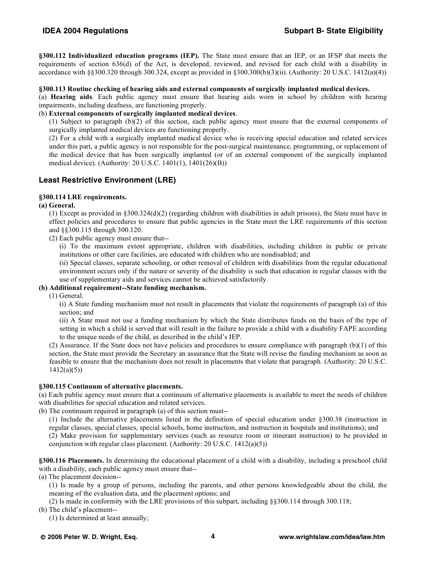**§300.112 Individualized education programs (IEP).** The State must ensure that an IEP, or an IFSP that meets the requirements of section 636(d) of the Act, is developed, reviewed, and revised for each child with a disability in accordance with  $\S 300.320$  through 300.324, except as provided in  $\S 300.300(b)(3)(ii)$ . (Authority: 20 U.S.C. 1412(a)(4))

#### **§300.113 Routine checking of hearing aids and external components of surgically implanted medical devices.**

(a) **Hearing aids**. Each public agency must ensure that hearing aids worn in school by children with hearing impairments, including deafness, are functioning properly.

#### (b) **External components of surgically implanted medical devices**.

(1) Subject to paragraph (b)(2) of this section, each public agency must ensure that the external components of surgically implanted medical devices are functioning properly.

(2) For a child with a surgically implanted medical device who is receiving special education and related services under this part, a public agency is not responsible for the post-surgical maintenance, programming, or replacement of the medical device that has been surgically implanted (or of an external component of the surgically implanted medical device). (Authority: 20 U.S.C. 1401(1), 1401(26)(B))

## **Least Restrictive Environment (LRE)**

#### **§300.114 LRE requirements.**

#### **(a) General.**

(1) Except as provided in §300.324(d)(2) (regarding children with disabilities in adult prisons), the State must have in effect policies and procedures to ensure that public agencies in the State meet the LRE requirements of this section and §§300.115 through 300.120.

(2) Each public agency must ensure that--

(i) To the maximum extent appropriate, children with disabilities, including children in public or private institutions or other care facilities, are educated with children who are nondisabled; and

(ii) Special classes, separate schooling, or other removal of children with disabilities from the regular educational environment occurs only if the nature or severity of the disability is such that education in regular classes with the use of supplementary aids and services cannot be achieved satisfactorily.

#### **(b) Additional requirement--State funding mechanism.**

(1) General.

(i) A State funding mechanism must not result in placements that violate the requirements of paragraph (a) of this section; and

(ii) A State must not use a funding mechanism by which the State distributes funds on the basis of the type of setting in which a child is served that will result in the failure to provide a child with a disability FAPE according to the unique needs of the child, as described in the child's IEP.

(2) Assurance. If the State does not have policies and procedures to ensure compliance with paragraph (b)(1) of this section, the State must provide the Secretary an assurance that the State will revise the funding mechanism as soon as feasible to ensure that the mechanism does not result in placements that violate that paragraph. (Authority: 20 U.S.C.  $1412(a)(5)$ 

#### **§300.115 Continuum of alternative placements.**

(a) Each public agency must ensure that a continuum of alternative placements is available to meet the needs of children with disabilities for special education and related services.

(b) The continuum required in paragraph (a) of this section must--

(1) Include the alternative placements listed in the definition of special education under §300.38 (instruction in regular classes, special classes, special schools, home instruction, and instruction in hospitals and institutions); and

(2) Make provision for supplementary services (such as resource room or itinerant instruction) to be provided in conjunction with regular class placement. (Authority:  $20 \text{ U.S.C. } 1412(a)(5)$ )

**§300.116 Placements.** In determining the educational placement of a child with a disability, including a preschool child with a disability, each public agency must ensure that--

(a) The placement decision--

(1) Is made by a group of persons, including the parents, and other persons knowledgeable about the child, the meaning of the evaluation data, and the placement options; and

(2) Is made in conformity with the LRE provisions of this subpart, including §§300.114 through 300.118;

(b) The child's placement--

(1) Is determined at least annually;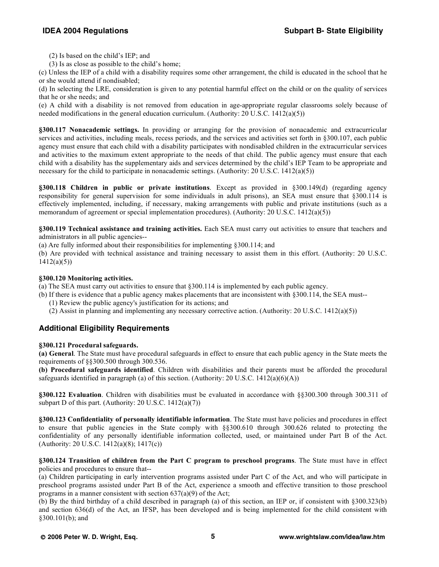(2) Is based on the child's IEP; and

(3) Is as close as possible to the child's home;

(c) Unless the IEP of a child with a disability requires some other arrangement, the child is educated in the school that he or she would attend if nondisabled;

(d) In selecting the LRE, consideration is given to any potential harmful effect on the child or on the quality of services that he or she needs; and

(e) A child with a disability is not removed from education in age-appropriate regular classrooms solely because of needed modifications in the general education curriculum. (Authority:  $20 \text{ U.S.C. } 1412(a)(5)$ )

**§300.117 Nonacademic settings.** In providing or arranging for the provision of nonacademic and extracurricular services and activities, including meals, recess periods, and the services and activities set forth in §300.107, each public agency must ensure that each child with a disability participates with nondisabled children in the extracurricular services and activities to the maximum extent appropriate to the needs of that child. The public agency must ensure that each child with a disability has the supplementary aids and services determined by the child's IEP Team to be appropriate and necessary for the child to participate in nonacademic settings. (Authority:  $20 \text{ U.S. C. } 1412(a)(5)$ )

**§300.118 Children in public or private institutions**. Except as provided in §300.149(d) (regarding agency responsibility for general supervision for some individuals in adult prisons), an SEA must ensure that §300.114 is effectively implemented, including, if necessary, making arrangements with public and private institutions (such as a memorandum of agreement or special implementation procedures). (Authority: 20 U.S.C. 1412(a)(5))

**§300.119 Technical assistance and training activities.** Each SEA must carry out activities to ensure that teachers and administrators in all public agencies--

(a) Are fully informed about their responsibilities for implementing §300.114; and

(b) Are provided with technical assistance and training necessary to assist them in this effort. (Authority: 20 U.S.C.  $1412(a)(5)$ 

#### **§300.120 Monitoring activities.**

(a) The SEA must carry out activities to ensure that §300.114 is implemented by each public agency.

- (b) If there is evidence that a public agency makes placements that are inconsistent with §300.114, the SEA must--
	- (1) Review the public agency's justification for its actions; and
	- (2) Assist in planning and implementing any necessary corrective action. (Authority: 20 U.S.C. 1412(a)(5))

## **Additional Eligibility Requirements**

#### **§300.121 Procedural safeguards.**

**(a) General**. The State must have procedural safeguards in effect to ensure that each public agency in the State meets the requirements of §§300.500 through 300.536.

**(b) Procedural safeguards identified**. Children with disabilities and their parents must be afforded the procedural safeguards identified in paragraph (a) of this section. (Authority:  $20 \text{ U.S.C. } 1412(a)(6)(\text{A})$ )

**§300.122 Evaluation**. Children with disabilities must be evaluated in accordance with §§300.300 through 300.311 of subpart D of this part. (Authority:  $20$  U.S.C.  $1412(a)(7)$ )

**§300.123 Confidentiality of personally identifiable information**. The State must have policies and procedures in effect to ensure that public agencies in the State comply with §§300.610 through 300.626 related to protecting the confidentiality of any personally identifiable information collected, used, or maintained under Part B of the Act. (Authority: 20 U.S.C. 1412(a)(8); 1417(c))

**§300.124 Transition of children from the Part C program to preschool programs**. The State must have in effect policies and procedures to ensure that--

(a) Children participating in early intervention programs assisted under Part C of the Act, and who will participate in preschool programs assisted under Part B of the Act, experience a smooth and effective transition to those preschool programs in a manner consistent with section 637(a)(9) of the Act;

(b) By the third birthday of a child described in paragraph (a) of this section, an IEP or, if consistent with §300.323(b) and section 636(d) of the Act, an IFSP, has been developed and is being implemented for the child consistent with §300.101(b); and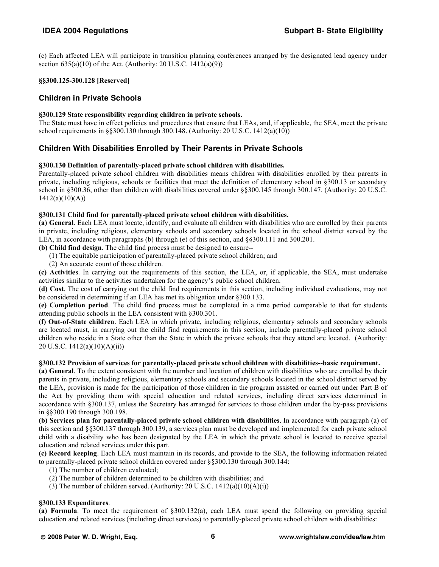(c) Each affected LEA will participate in transition planning conferences arranged by the designated lead agency under section  $635(a)(10)$  of the Act. (Authority: 20 U.S.C.  $1412(a)(9)$ )

#### **§§300.125-300.128 [Reserved]**

## **Children in Private Schools**

#### **§300.129 State responsibility regarding children in private schools.**

The State must have in effect policies and procedures that ensure that LEAs, and, if applicable, the SEA, meet the private school requirements in §§300.130 through 300.148. (Authority: 20 U.S.C. 1412(a)(10))

## **Children With Disabilities Enrolled by Their Parents in Private Schools**

#### **§300.130 Definition of parentally-placed private school children with disabilities.**

Parentally-placed private school children with disabilities means children with disabilities enrolled by their parents in private, including religious, schools or facilities that meet the definition of elementary school in §300.13 or secondary school in §300.36, other than children with disabilities covered under §§300.145 through 300.147. (Authority: 20 U.S.C.  $1412(a)(10)(A))$ 

#### **§300.131 Child find for parentally-placed private school children with disabilities.**

**(a) General**. Each LEA must locate, identify, and evaluate all children with disabilities who are enrolled by their parents in private, including religious, elementary schools and secondary schools located in the school district served by the LEA, in accordance with paragraphs (b) through (e) of this section, and  $\S$ §300.111 and 300.201.

**(b) Child find design**. The child find process must be designed to ensure--

- (1) The equitable participation of parentally-placed private school children; and
- (2) An accurate count of those children.

**(c) Activities**. In carrying out the requirements of this section, the LEA, or, if applicable, the SEA, must undertake activities similar to the activities undertaken for the agency's public school children.

**(d) Cost**. The cost of carrying out the child find requirements in this section, including individual evaluations, may not be considered in determining if an LEA has met its obligation under §300.133.

**(e) Completion period**. The child find process must be completed in a time period comparable to that for students attending public schools in the LEA consistent with §300.301.

**(f) Out-of-State children**. Each LEA in which private, including religious, elementary schools and secondary schools are located must, in carrying out the child find requirements in this section, include parentally-placed private school children who reside in a State other than the State in which the private schools that they attend are located. (Authority: 20 U.S.C. 1412(a)(10)(A)(ii))

#### **§300.132 Provision of services for parentally-placed private school children with disabilities--basic requirement.**

**(a) General**. To the extent consistent with the number and location of children with disabilities who are enrolled by their parents in private, including religious, elementary schools and secondary schools located in the school district served by the LEA, provision is made for the participation of those children in the program assisted or carried out under Part B of the Act by providing them with special education and related services, including direct services determined in accordance with §300.137, unless the Secretary has arranged for services to those children under the by-pass provisions in §§300.190 through 300.198.

**(b) Services plan for parentally-placed private school children with disabilities**. In accordance with paragraph (a) of this section and §§300.137 through 300.139, a services plan must be developed and implemented for each private school child with a disability who has been designated by the LEA in which the private school is located to receive special education and related services under this part.

**(c) Record keeping**. Each LEA must maintain in its records, and provide to the SEA, the following information related to parentally-placed private school children covered under §§300.130 through 300.144:

- (1) The number of children evaluated;
- (2) The number of children determined to be children with disabilities; and
- (3) The number of children served. (Authority:  $20 \text{ U.S.C. } 1412(a)(10)(A)(i)$ )

#### **§300.133 Expenditures**.

**(a) Formula**. To meet the requirement of §300.132(a), each LEA must spend the following on providing special education and related services (including direct services) to parentally-placed private school children with disabilities: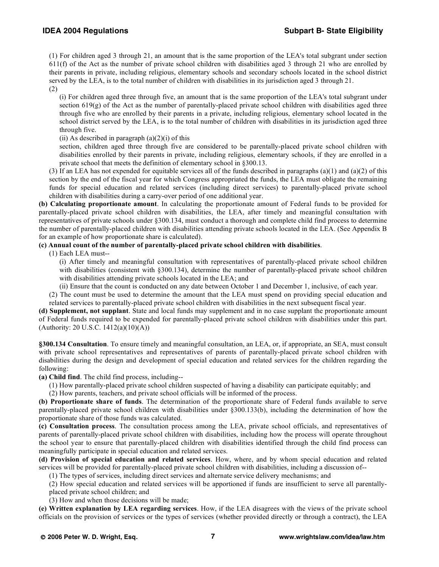(1) For children aged 3 through 21, an amount that is the same proportion of the LEA's total subgrant under section 611(f) of the Act as the number of private school children with disabilities aged 3 through 21 who are enrolled by their parents in private, including religious, elementary schools and secondary schools located in the school district served by the LEA, is to the total number of children with disabilities in its jurisdiction aged 3 through 21.

(2)

(i) For children aged three through five, an amount that is the same proportion of the LEA's total subgrant under section 619(g) of the Act as the number of parentally-placed private school children with disabilities aged three through five who are enrolled by their parents in a private, including religious, elementary school located in the school district served by the LEA, is to the total number of children with disabilities in its jurisdiction aged three through five.

(ii) As described in paragraph  $(a)(2)(i)$  of this

section, children aged three through five are considered to be parentally-placed private school children with disabilities enrolled by their parents in private, including religious, elementary schools, if they are enrolled in a private school that meets the definition of elementary school in §300.13.

(3) If an LEA has not expended for equitable services all of the funds described in paragraphs (a)(1) and (a)(2) of this section by the end of the fiscal year for which Congress appropriated the funds, the LEA must obligate the remaining funds for special education and related services (including direct services) to parentally-placed private school children with disabilities during a carry-over period of one additional year.

**(b) Calculating proportionate amount**. In calculating the proportionate amount of Federal funds to be provided for parentally-placed private school children with disabilities, the LEA, after timely and meaningful consultation with representatives of private schools under §300.134, must conduct a thorough and complete child find process to determine the number of parentally-placed children with disabilities attending private schools located in the LEA. (See Appendix B for an example of how proportionate share is calculated).

**(c) Annual count of the number of parentally-placed private school children with disabilities**.

(1) Each LEA must--

(i) After timely and meaningful consultation with representatives of parentally-placed private school children with disabilities (consistent with §300.134), determine the number of parentally-placed private school children with disabilities attending private schools located in the LEA; and

(ii) Ensure that the count is conducted on any date between October 1 and December 1, inclusive, of each year.

(2) The count must be used to determine the amount that the LEA must spend on providing special education and related services to parentally-placed private school children with disabilities in the next subsequent fiscal year.

**(d) Supplement, not supplant**. State and local funds may supplement and in no case supplant the proportionate amount of Federal funds required to be expended for parentally-placed private school children with disabilities under this part. (Authority: 20 U.S.C. 1412(a)(10)(A))

**§300.134 Consultation**. To ensure timely and meaningful consultation, an LEA, or, if appropriate, an SEA, must consult with private school representatives and representatives of parents of parentally-placed private school children with disabilities during the design and development of special education and related services for the children regarding the following:

**(a) Child find**. The child find process, including--

(1) How parentally-placed private school children suspected of having a disability can participate equitably; and

(2) How parents, teachers, and private school officials will be informed of the process.

**(b) Proportionate share of funds**. The determination of the proportionate share of Federal funds available to serve parentally-placed private school children with disabilities under §300.133(b), including the determination of how the proportionate share of those funds was calculated.

**(c) Consultation process**. The consultation process among the LEA, private school officials, and representatives of parents of parentally-placed private school children with disabilities, including how the process will operate throughout the school year to ensure that parentally-placed children with disabilities identified through the child find process can meaningfully participate in special education and related services.

**(d) Provision of special education and related services**. How, where, and by whom special education and related services will be provided for parentally-placed private school children with disabilities, including a discussion of--

(1) The types of services, including direct services and alternate service delivery mechanisms; and

(2) How special education and related services will be apportioned if funds are insufficient to serve all parentallyplaced private school children; and

(3) How and when those decisions will be made;

**(e) Written explanation by LEA regarding services**. How, if the LEA disagrees with the views of the private school officials on the provision of services or the types of services (whether provided directly or through a contract), the LEA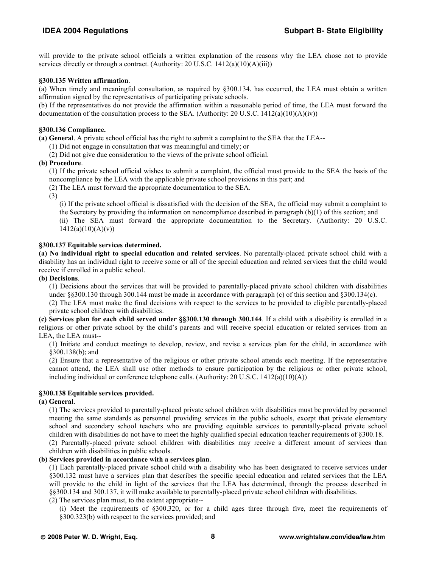will provide to the private school officials a written explanation of the reasons why the LEA chose not to provide services directly or through a contract. (Authority: 20 U.S.C.  $1412(a)(10)(A)(iii)$ )

#### **§300.135 Written affirmation**.

(a) When timely and meaningful consultation, as required by §300.134, has occurred, the LEA must obtain a written affirmation signed by the representatives of participating private schools.

(b) If the representatives do not provide the affirmation within a reasonable period of time, the LEA must forward the documentation of the consultation process to the SEA. (Authority:  $20 \text{ U.S.C. } 1412(a)(10)(\text{A})(iv)$ )

#### **§300.136 Compliance.**

**(a) General**. A private school official has the right to submit a complaint to the SEA that the LEA--

(1) Did not engage in consultation that was meaningful and timely; or

(2) Did not give due consideration to the views of the private school official.

#### **(b) Procedure**.

(1) If the private school official wishes to submit a complaint, the official must provide to the SEA the basis of the noncompliance by the LEA with the applicable private school provisions in this part; and

(2) The LEA must forward the appropriate documentation to the SEA.

(3)

(i) If the private school official is dissatisfied with the decision of the SEA, the official may submit a complaint to the Secretary by providing the information on noncompliance described in paragraph (b)(1) of this section; and

(ii) The SEA must forward the appropriate documentation to the Secretary. (Authority: 20 U.S.C.  $1412(a)(10)(A)(v)$ 

## **§300.137 Equitable services determined.**

**(a) No individual right to special education and related services**. No parentally-placed private school child with a disability has an individual right to receive some or all of the special education and related services that the child would receive if enrolled in a public school.

#### **(b) Decisions**.

(1) Decisions about the services that will be provided to parentally-placed private school children with disabilities under §§300.130 through 300.144 must be made in accordance with paragraph (c) of this section and §300.134(c).

(2) The LEA must make the final decisions with respect to the services to be provided to eligible parentally-placed private school children with disabilities.

**(c) Services plan for each child served under §§300.130 through 300.144**. If a child with a disability is enrolled in a religious or other private school by the child's parents and will receive special education or related services from an LEA, the LEA must--

(1) Initiate and conduct meetings to develop, review, and revise a services plan for the child, in accordance with §300.138(b); and

(2) Ensure that a representative of the religious or other private school attends each meeting. If the representative cannot attend, the LEA shall use other methods to ensure participation by the religious or other private school, including individual or conference telephone calls. (Authority:  $20 \text{ U.S.C. } 1412(a)(10)(\text{A})$ )

#### **§300.138 Equitable services provided.**

#### **(a) General**.

(1) The services provided to parentally-placed private school children with disabilities must be provided by personnel meeting the same standards as personnel providing services in the public schools, except that private elementary school and secondary school teachers who are providing equitable services to parentally-placed private school children with disabilities do not have to meet the highly qualified special education teacher requirements of §300.18.

(2) Parentally-placed private school children with disabilities may receive a different amount of services than children with disabilities in public schools.

#### **(b) Services provided in accordance with a services plan**.

(1) Each parentally-placed private school child with a disability who has been designated to receive services under §300.132 must have a services plan that describes the specific special education and related services that the LEA will provide to the child in light of the services that the LEA has determined, through the process described in §§300.134 and 300.137, it will make available to parentally-placed private school children with disabilities.

## (2) The services plan must, to the extent appropriate--

(i) Meet the requirements of §300.320, or for a child ages three through five, meet the requirements of §300.323(b) with respect to the services provided; and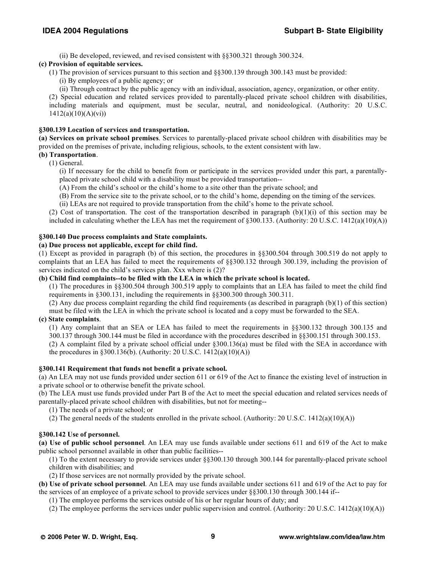(ii) Be developed, reviewed, and revised consistent with §§300.321 through 300.324.

#### **(c) Provision of equitable services.**

(1) The provision of services pursuant to this section and §§300.139 through 300.143 must be provided:

(i) By employees of a public agency; or

(ii) Through contract by the public agency with an individual, association, agency, organization, or other entity.

(2) Special education and related services provided to parentally-placed private school children with disabilities, including materials and equipment, must be secular, neutral, and nonideological. (Authority: 20 U.S.C.  $1412(a)(10)(A)(vi)$ 

#### **§300.139 Location of services and transportation.**

**(a) Services on private school premises**. Services to parentally-placed private school children with disabilities may be provided on the premises of private, including religious, schools, to the extent consistent with law.

### **(b) Transportation**.

(1) General.

(i) If necessary for the child to benefit from or participate in the services provided under this part, a parentallyplaced private school child with a disability must be provided transportation--

(A) From the child's school or the child's home to a site other than the private school; and

(B) From the service site to the private school, or to the child's home, depending on the timing of the services.

(ii) LEAs are not required to provide transportation from the child's home to the private school.

(2) Cost of transportation. The cost of the transportation described in paragraph  $(b)(1)(i)$  of this section may be included in calculating whether the LEA has met the requirement of  $\S 300.133$ . (Authority: 20 U.S.C. 1412(a)(10)(A))

## **§300.140 Due process complaints and State complaints.**

## **(a) Due process not applicable, except for child find.**

(1) Except as provided in paragraph (b) of this section, the procedures in §§300.504 through 300.519 do not apply to complaints that an LEA has failed to meet the requirements of §§300.132 through 300.139, including the provision of services indicated on the child's services plan. Xxx where is  $(2)$ ?

#### **(b) Child find complaints--to be filed with the LEA in which the private school is located.**

(1) The procedures in §§300.504 through 300.519 apply to complaints that an LEA has failed to meet the child find requirements in §300.131, including the requirements in §§300.300 through 300.311.

(2) Any due process complaint regarding the child find requirements (as described in paragraph  $(b)(1)$  of this section) must be filed with the LEA in which the private school is located and a copy must be forwarded to the SEA.

#### **(c) State complaints**.

(1) Any complaint that an SEA or LEA has failed to meet the requirements in §§300.132 through 300.135 and 300.137 through 300.144 must be filed in accordance with the procedures described in §§300.151 through 300.153.

(2) A complaint filed by a private school official under §300.136(a) must be filed with the SEA in accordance with the procedures in  $$300.136(b)$ . (Authority: 20 U.S.C. 1412(a)(10)(A))

#### **§300.141 Requirement that funds not benefit a private school.**

(a) An LEA may not use funds provided under section 611 or 619 of the Act to finance the existing level of instruction in a private school or to otherwise benefit the private school.

(b) The LEA must use funds provided under Part B of the Act to meet the special education and related services needs of parentally-placed private school children with disabilities, but not for meeting--

(1) The needs of a private school; or

(2) The general needs of the students enrolled in the private school. (Authority:  $20 \text{ U.S.C. } 1412(a)(10)(\text{A})$ )

#### **§300.142 Use of personnel.**

**(a) Use of public school personnel**. An LEA may use funds available under sections 611 and 619 of the Act to make public school personnel available in other than public facilities--

(1) To the extent necessary to provide services under §§300.130 through 300.144 for parentally-placed private school children with disabilities; and

(2) If those services are not normally provided by the private school.

**(b) Use of private school personnel**. An LEA may use funds available under sections 611 and 619 of the Act to pay for the services of an employee of a private school to provide services under §§300.130 through 300.144 if--

- (1) The employee performs the services outside of his or her regular hours of duty; and
- (2) The employee performs the services under public supervision and control. (Authority:  $20 \text{ U.S.C. } 1412(a)(10)(\text{A})$ )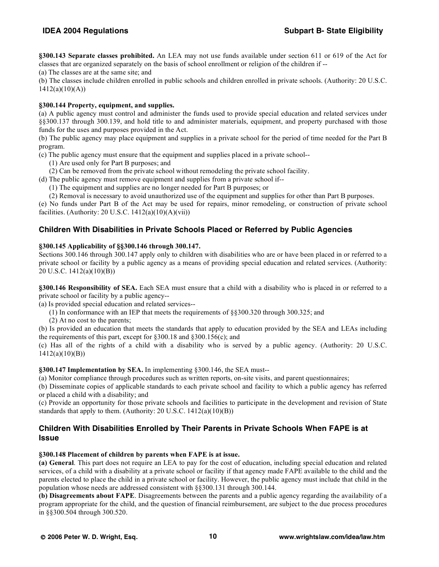**§300.143 Separate classes prohibited.** An LEA may not use funds available under section 611 or 619 of the Act for classes that are organized separately on the basis of school enrollment or religion of the children if --

(a) The classes are at the same site; and

(b) The classes include children enrolled in public schools and children enrolled in private schools. (Authority: 20 U.S.C.  $1412(a)(10)(A))$ 

## **§300.144 Property, equipment, and supplies.**

(a) A public agency must control and administer the funds used to provide special education and related services under §§300.137 through 300.139, and hold title to and administer materials, equipment, and property purchased with those funds for the uses and purposes provided in the Act.

(b) The public agency may place equipment and supplies in a private school for the period of time needed for the Part B program.

(c) The public agency must ensure that the equipment and supplies placed in a private school--

(1) Are used only for Part B purposes; and

(2) Can be removed from the private school without remodeling the private school facility.

(d) The public agency must remove equipment and supplies from a private school if--

(1) The equipment and supplies are no longer needed for Part B purposes; or

(2) Removal is necessary to avoid unauthorized use of the equipment and supplies for other than Part B purposes.

(e) No funds under Part B of the Act may be used for repairs, minor remodeling, or construction of private school facilities. (Authority: 20 U.S.C.  $1412(a)(10)(A)(vii)$ )

## **Children With Disabilities in Private Schools Placed or Referred by Public Agencies**

#### **§300.145 Applicability of §§300.146 through 300.147.**

Sections 300.146 through 300.147 apply only to children with disabilities who are or have been placed in or referred to a private school or facility by a public agency as a means of providing special education and related services. (Authority: 20 U.S.C. 1412(a)(10)(B))

**§300.146 Responsibility of SEA.** Each SEA must ensure that a child with a disability who is placed in or referred to a private school or facility by a public agency--

(a) Is provided special education and related services--

(1) In conformance with an IEP that meets the requirements of §§300.320 through 300.325; and

(2) At no cost to the parents;

(b) Is provided an education that meets the standards that apply to education provided by the SEA and LEAs including the requirements of this part, except for §300.18 and §300.156(c); and

(c) Has all of the rights of a child with a disability who is served by a public agency. (Authority: 20 U.S.C. 1412(a)(10)(B))

**§300.147 Implementation by SEA.** In implementing §300.146, the SEA must--

(a) Monitor compliance through procedures such as written reports, on-site visits, and parent questionnaires;

(b) Disseminate copies of applicable standards to each private school and facility to which a public agency has referred or placed a child with a disability; and

(c) Provide an opportunity for those private schools and facilities to participate in the development and revision of State standards that apply to them. (Authority:  $20$  U.S.C.  $1412(a)(10)(B)$ )

## **Children With Disabilities Enrolled by Their Parents in Private Schools When FAPE is at Issue**

#### **§300.148 Placement of children by parents when FAPE is at issue.**

**(a) General**. This part does not require an LEA to pay for the cost of education, including special education and related services, of a child with a disability at a private school or facility if that agency made FAPE available to the child and the parents elected to place the child in a private school or facility. However, the public agency must include that child in the population whose needs are addressed consistent with §§300.131 through 300.144.

**(b) Disagreements about FAPE**. Disagreements between the parents and a public agency regarding the availability of a program appropriate for the child, and the question of financial reimbursement, are subject to the due process procedures in §§300.504 through 300.520.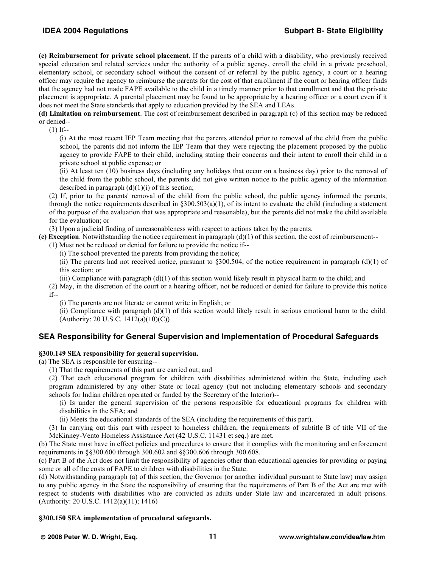**(c) Reimbursement for private school placement**. If the parents of a child with a disability, who previously received special education and related services under the authority of a public agency, enroll the child in a private preschool, elementary school, or secondary school without the consent of or referral by the public agency, a court or a hearing officer may require the agency to reimburse the parents for the cost of that enrollment if the court or hearing officer finds that the agency had not made FAPE available to the child in a timely manner prior to that enrollment and that the private placement is appropriate. A parental placement may be found to be appropriate by a hearing officer or a court even if it does not meet the State standards that apply to education provided by the SEA and LEAs.

**(d) Limitation on reimbursement**. The cost of reimbursement described in paragraph (c) of this section may be reduced or denied--

(1) If--

(i) At the most recent IEP Team meeting that the parents attended prior to removal of the child from the public school, the parents did not inform the IEP Team that they were rejecting the placement proposed by the public agency to provide FAPE to their child, including stating their concerns and their intent to enroll their child in a private school at public expense; or

(ii) At least ten (10) business days (including any holidays that occur on a business day) prior to the removal of the child from the public school, the parents did not give written notice to the public agency of the information described in paragraph  $(d)(1)(i)$  of this section;

(2) If, prior to the parents' removal of the child from the public school, the public agency informed the parents, through the notice requirements described in  $\S300.503(a)(1)$ , of its intent to evaluate the child (including a statement of the purpose of the evaluation that was appropriate and reasonable), but the parents did not make the child available for the evaluation; or

(3) Upon a judicial finding of unreasonableness with respect to actions taken by the parents.

**(e) Exception**. Notwithstanding the notice requirement in paragraph (d)(1) of this section, the cost of reimbursement--

(1) Must not be reduced or denied for failure to provide the notice if--

(i) The school prevented the parents from providing the notice;

(ii) The parents had not received notice, pursuant to  $\S 300.504$ , of the notice requirement in paragraph (d)(1) of this section; or

(iii) Compliance with paragraph  $(d)(1)$  of this section would likely result in physical harm to the child; and

(2) May, in the discretion of the court or a hearing officer, not be reduced or denied for failure to provide this notice if--

(i) The parents are not literate or cannot write in English; or

(ii) Compliance with paragraph (d)(1) of this section would likely result in serious emotional harm to the child. (Authority: 20 U.S.C. 1412(a)(10)(C))

## **SEA Responsibility for General Supervision and Implementation of Procedural Safeguards**

#### **§300.149 SEA responsibility for general supervision.**

(a) The SEA is responsible for ensuring--

(1) That the requirements of this part are carried out; and

(2) That each educational program for children with disabilities administered within the State, including each program administered by any other State or local agency (but not including elementary schools and secondary schools for Indian children operated or funded by the Secretary of the Interior)--

(i) Is under the general supervision of the persons responsible for educational programs for children with disabilities in the SEA; and

(ii) Meets the educational standards of the SEA (including the requirements of this part).

(3) In carrying out this part with respect to homeless children, the requirements of subtitle B of title VII of the McKinney-Vento Homeless Assistance Act (42 U.S.C. 11431 et seq.) are met.

(b) The State must have in effect policies and procedures to ensure that it complies with the monitoring and enforcement requirements in §§300.600 through 300.602 and §§300.606 through 300.608.

(c) Part B of the Act does not limit the responsibility of agencies other than educational agencies for providing or paying some or all of the costs of FAPE to children with disabilities in the State.

(d) Notwithstanding paragraph (a) of this section, the Governor (or another individual pursuant to State law) may assign to any public agency in the State the responsibility of ensuring that the requirements of Part B of the Act are met with respect to students with disabilities who are convicted as adults under State law and incarcerated in adult prisons. (Authority: 20 U.S.C. 1412(a)(11); 1416)

#### **§300.150 SEA implementation of procedural safeguards.**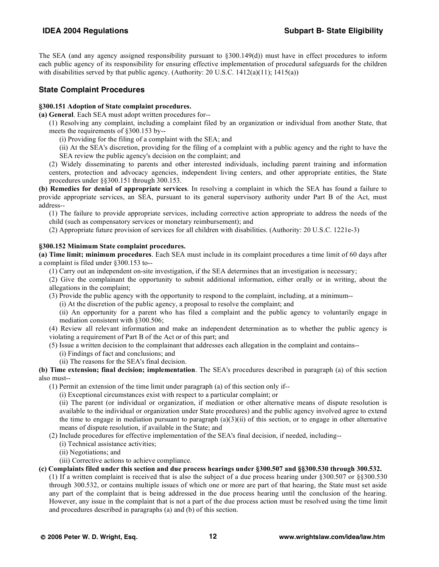The SEA (and any agency assigned responsibility pursuant to §300.149(d)) must have in effect procedures to inform each public agency of its responsibility for ensuring effective implementation of procedural safeguards for the children with disabilities served by that public agency. (Authority: 20 U.S.C. 1412(a)(11); 1415(a))

## **State Complaint Procedures**

## **§300.151 Adoption of State complaint procedures.**

**(a) General**. Each SEA must adopt written procedures for--

(1) Resolving any complaint, including a complaint filed by an organization or individual from another State, that meets the requirements of §300.153 by--

- (i) Providing for the filing of a complaint with the SEA; and
- (ii) At the SEA's discretion, providing for the filing of a complaint with a public agency and the right to have the SEA review the public agency's decision on the complaint; and

(2) Widely disseminating to parents and other interested individuals, including parent training and information centers, protection and advocacy agencies, independent living centers, and other appropriate entities, the State procedures under §§300.151 through 300.153.

**(b) Remedies for denial of appropriate services**. In resolving a complaint in which the SEA has found a failure to provide appropriate services, an SEA, pursuant to its general supervisory authority under Part B of the Act, must address--

(1) The failure to provide appropriate services, including corrective action appropriate to address the needs of the child (such as compensatory services or monetary reimbursement); and

(2) Appropriate future provision of services for all children with disabilities. (Authority: 20 U.S.C. 1221e-3)

#### **§300.152 Minimum State complaint procedures.**

**(a) Time limit; minimum procedures**. Each SEA must include in its complaint procedures a time limit of 60 days after a complaint is filed under §300.153 to--

(1) Carry out an independent on-site investigation, if the SEA determines that an investigation is necessary;

(2) Give the complainant the opportunity to submit additional information, either orally or in writing, about the allegations in the complaint;

(3) Provide the public agency with the opportunity to respond to the complaint, including, at a minimum--

(i) At the discretion of the public agency, a proposal to resolve the complaint; and

(ii) An opportunity for a parent who has filed a complaint and the public agency to voluntarily engage in mediation consistent with §300.506;

(4) Review all relevant information and make an independent determination as to whether the public agency is violating a requirement of Part B of the Act or of this part; and

(5) Issue a written decision to the complainant that addresses each allegation in the complaint and contains--

- (i) Findings of fact and conclusions; and
- (ii) The reasons for the SEA's final decision.

**(b) Time extension; final decision; implementation**. The SEA's procedures described in paragraph (a) of this section also must--

(1) Permit an extension of the time limit under paragraph (a) of this section only if--

(i) Exceptional circumstances exist with respect to a particular complaint; or

(ii) The parent (or individual or organization, if mediation or other alternative means of dispute resolution is available to the individual or organization under State procedures) and the public agency involved agree to extend the time to engage in mediation pursuant to paragraph  $(a)(3)(ii)$  of this section, or to engage in other alternative means of dispute resolution, if available in the State; and

(2) Include procedures for effective implementation of the SEA's final decision, if needed, including--

(i) Technical assistance activities;

(ii) Negotiations; and

(iii) Corrective actions to achieve compliance.

#### **(c) Complaints filed under this section and due process hearings under §300.507 and §§300.530 through 300.532.**

(1) If a written complaint is received that is also the subject of a due process hearing under §300.507 or §§300.530 through 300.532, or contains multiple issues of which one or more are part of that hearing, the State must set aside any part of the complaint that is being addressed in the due process hearing until the conclusion of the hearing. However, any issue in the complaint that is not a part of the due process action must be resolved using the time limit and procedures described in paragraphs (a) and (b) of this section.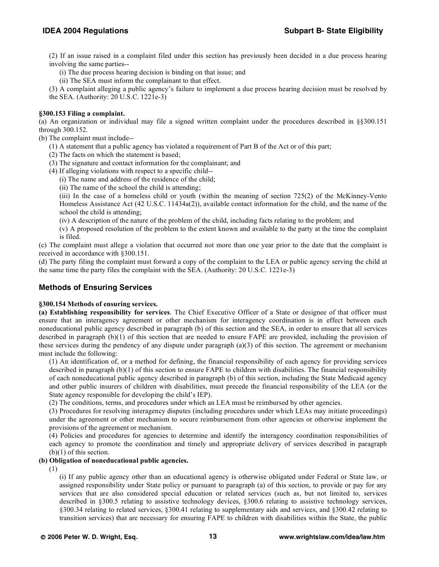(2) If an issue raised in a complaint filed under this section has previously been decided in a due process hearing involving the same parties--

(i) The due process hearing decision is binding on that issue; and

(ii) The SEA must inform the complainant to that effect.

(3) A complaint alleging a public agency's failure to implement a due process hearing decision must be resolved by the SEA. (Authority: 20 U.S.C. 1221e-3)

#### **§300.153 Filing a complaint.**

(a) An organization or individual may file a signed written complaint under the procedures described in §§300.151 through 300.152.

(b) The complaint must include--

- (1) A statement that a public agency has violated a requirement of Part B of the Act or of this part;
- (2) The facts on which the statement is based;
- (3) The signature and contact information for the complainant; and
- (4) If alleging violations with respect to a specific child--
	- (i) The name and address of the residence of the child;
	- (ii) The name of the school the child is attending;

(iii) In the case of a homeless child or youth (within the meaning of section 725(2) of the McKinney-Vento Homeless Assistance Act (42 U.S.C. 11434a(2)), available contact information for the child, and the name of the school the child is attending;

(iv) A description of the nature of the problem of the child, including facts relating to the problem; and

(v) A proposed resolution of the problem to the extent known and available to the party at the time the complaint is filed.

(c) The complaint must allege a violation that occurred not more than one year prior to the date that the complaint is received in accordance with §300.151.

(d) The party filing the complaint must forward a copy of the complaint to the LEA or public agency serving the child at the same time the party files the complaint with the SEA. (Authority: 20 U.S.C. 1221e-3)

## **Methods of Ensuring Services**

#### **§300.154 Methods of ensuring services.**

**(a) Establishing responsibility for services**. The Chief Executive Officer of a State or designee of that officer must ensure that an interagency agreement or other mechanism for interagency coordination is in effect between each noneducational public agency described in paragraph (b) of this section and the SEA, in order to ensure that all services described in paragraph (b)(1) of this section that are needed to ensure FAPE are provided, including the provision of these services during the pendency of any dispute under paragraph  $(a)(3)$  of this section. The agreement or mechanism must include the following:

(1) An identification of, or a method for defining, the financial responsibility of each agency for providing services described in paragraph (b)(1) of this section to ensure FAPE to children with disabilities. The financial responsibility of each noneducational public agency described in paragraph (b) of this section, including the State Medicaid agency and other public insurers of children with disabilities, must precede the financial responsibility of the LEA (or the State agency responsible for developing the child's IEP).

(2) The conditions, terms, and procedures under which an LEA must be reimbursed by other agencies.

(3) Procedures for resolving interagency disputes (including procedures under which LEAs may initiate proceedings) under the agreement or other mechanism to secure reimbursement from other agencies or otherwise implement the provisions of the agreement or mechanism.

(4) Policies and procedures for agencies to determine and identify the interagency coordination responsibilities of each agency to promote the coordination and timely and appropriate delivery of services described in paragraph  $(b)(1)$  of this section.

#### **(b) Obligation of noneducational public agencies.**

(1)

(i) If any public agency other than an educational agency is otherwise obligated under Federal or State law, or assigned responsibility under State policy or pursuant to paragraph (a) of this section, to provide or pay for any services that are also considered special education or related services (such as, but not limited to, services described in §300.5 relating to assistive technology devices, §300.6 relating to assistive technology services, §300.34 relating to related services, §300.41 relating to supplementary aids and services, and §300.42 relating to transition services) that are necessary for ensuring FAPE to children with disabilities within the State, the public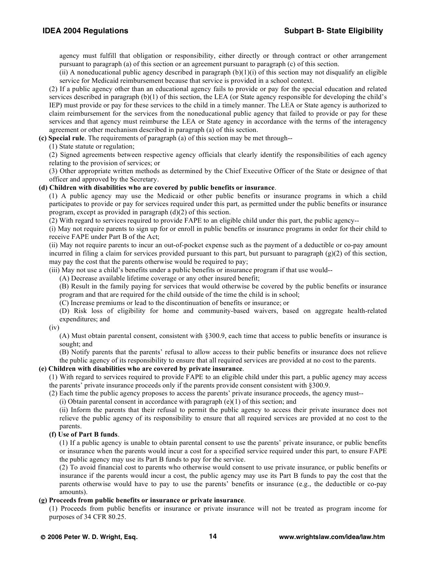agency must fulfill that obligation or responsibility, either directly or through contract or other arrangement pursuant to paragraph (a) of this section or an agreement pursuant to paragraph (c) of this section.

(ii) A noneducational public agency described in paragraph  $(b)(1)(i)$  of this section may not disqualify an eligible service for Medicaid reimbursement because that service is provided in a school context.

(2) If a public agency other than an educational agency fails to provide or pay for the special education and related services described in paragraph (b)(1) of this section, the LEA (or State agency responsible for developing the child's IEP) must provide or pay for these services to the child in a timely manner. The LEA or State agency is authorized to claim reimbursement for the services from the noneducational public agency that failed to provide or pay for these services and that agency must reimburse the LEA or State agency in accordance with the terms of the interagency agreement or other mechanism described in paragraph (a) of this section.

**(c) Special rule**. The requirements of paragraph (a) of this section may be met through--

(1) State statute or regulation;

(2) Signed agreements between respective agency officials that clearly identify the responsibilities of each agency relating to the provision of services; or

(3) Other appropriate written methods as determined by the Chief Executive Officer of the State or designee of that officer and approved by the Secretary.

#### **(d) Children with disabilities who are covered by public benefits or insurance**.

(1) A public agency may use the Medicaid or other public benefits or insurance programs in which a child participates to provide or pay for services required under this part, as permitted under the public benefits or insurance program, except as provided in paragraph (d)(2) of this section.

(2) With regard to services required to provide FAPE to an eligible child under this part, the public agency--

(i) May not require parents to sign up for or enroll in public benefits or insurance programs in order for their child to receive FAPE under Part B of the Act;

(ii) May not require parents to incur an out-of-pocket expense such as the payment of a deductible or co-pay amount incurred in filing a claim for services provided pursuant to this part, but pursuant to paragraph  $(g)(2)$  of this section, may pay the cost that the parents otherwise would be required to pay;

(iii) May not use a child's benefits under a public benefits or insurance program if that use would--

(A) Decrease available lifetime coverage or any other insured benefit;

(B) Result in the family paying for services that would otherwise be covered by the public benefits or insurance program and that are required for the child outside of the time the child is in school;

(C) Increase premiums or lead to the discontinuation of benefits or insurance; or

(D) Risk loss of eligibility for home and community-based waivers, based on aggregate health-related expenditures; and

(iv)

(A) Must obtain parental consent, consistent with §300.9, each time that access to public benefits or insurance is sought; and

(B) Notify parents that the parents' refusal to allow access to their public benefits or insurance does not relieve the public agency of its responsibility to ensure that all required services are provided at no cost to the parents.

#### **(e) Children with disabilities who are covered by private insurance**.

(1) With regard to services required to provide FAPE to an eligible child under this part, a public agency may access the parents' private insurance proceeds only if the parents provide consent consistent with §300.9.

(2) Each time the public agency proposes to access the parents' private insurance proceeds, the agency must--

(i) Obtain parental consent in accordance with paragraph (e)(1) of this section; and

(ii) Inform the parents that their refusal to permit the public agency to access their private insurance does not relieve the public agency of its responsibility to ensure that all required services are provided at no cost to the parents.

#### **(f) Use of Part B funds**.

(1) If a public agency is unable to obtain parental consent to use the parents' private insurance, or public benefits or insurance when the parents would incur a cost for a specified service required under this part, to ensure FAPE the public agency may use its Part B funds to pay for the service.

(2) To avoid financial cost to parents who otherwise would consent to use private insurance, or public benefits or insurance if the parents would incur a cost, the public agency may use its Part B funds to pay the cost that the parents otherwise would have to pay to use the parents' benefits or insurance (e.g., the deductible or co-pay amounts).

#### **(g) Proceeds from public benefits or insurance or private insurance**.

(1) Proceeds from public benefits or insurance or private insurance will not be treated as program income for purposes of 34 CFR 80.25.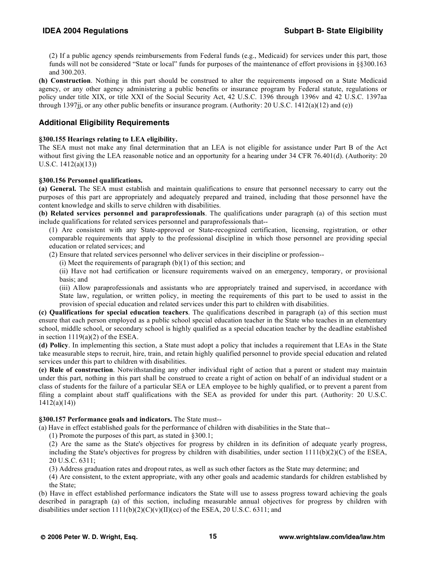(2) If a public agency spends reimbursements from Federal funds (e.g., Medicaid) for services under this part, those funds will not be considered "State or local" funds for purposes of the maintenance of effort provisions in §§300.163 and 300.203.

**(h) Construction**. Nothing in this part should be construed to alter the requirements imposed on a State Medicaid agency, or any other agency administering a public benefits or insurance program by Federal statute, regulations or policy under title XIX, or title XXI of the Social Security Act, 42 U.S.C. 1396 through 1396v and 42 U.S.C. 1397aa through 1397jj, or any other public benefits or insurance program. (Authority: 20 U.S.C. 1412(a)(12) and (e))

## **Additional Eligibility Requirements**

#### **§300.155 Hearings relating to LEA eligibility.**

The SEA must not make any final determination that an LEA is not eligible for assistance under Part B of the Act without first giving the LEA reasonable notice and an opportunity for a hearing under 34 CFR 76.401(d). (Authority: 20 U.S.C. 1412(a)(13))

#### **§300.156 Personnel qualifications.**

**(a) General.** The SEA must establish and maintain qualifications to ensure that personnel necessary to carry out the purposes of this part are appropriately and adequately prepared and trained, including that those personnel have the content knowledge and skills to serve children with disabilities.

**(b) Related services personnel and paraprofessionals**. The qualifications under paragraph (a) of this section must include qualifications for related services personnel and paraprofessionals that--

(1) Are consistent with any State-approved or State-recognized certification, licensing, registration, or other comparable requirements that apply to the professional discipline in which those personnel are providing special education or related services; and

(2) Ensure that related services personnel who deliver services in their discipline or profession--

(i) Meet the requirements of paragraph  $(b)(1)$  of this section; and

(ii) Have not had certification or licensure requirements waived on an emergency, temporary, or provisional basis; and

(iii) Allow paraprofessionals and assistants who are appropriately trained and supervised, in accordance with State law, regulation, or written policy, in meeting the requirements of this part to be used to assist in the provision of special education and related services under this part to children with disabilities.

**(c) Qualifications for special education teachers**. The qualifications described in paragraph (a) of this section must ensure that each person employed as a public school special education teacher in the State who teaches in an elementary school, middle school, or secondary school is highly qualified as a special education teacher by the deadline established in section 1119(a)(2) of the ESEA.

**(d) Policy**. In implementing this section, a State must adopt a policy that includes a requirement that LEAs in the State take measurable steps to recruit, hire, train, and retain highly qualified personnel to provide special education and related services under this part to children with disabilities.

**(e) Rule of construction**. Notwithstanding any other individual right of action that a parent or student may maintain under this part, nothing in this part shall be construed to create a right of action on behalf of an individual student or a class of students for the failure of a particular SEA or LEA employee to be highly qualified, or to prevent a parent from filing a complaint about staff qualifications with the SEA as provided for under this part. (Authority: 20 U.S.C. 1412(a)(14))

#### **§300.157 Performance goals and indicators.** The State must--

(a) Have in effect established goals for the performance of children with disabilities in the State that--

(1) Promote the purposes of this part, as stated in §300.1;

(2) Are the same as the State's objectives for progress by children in its definition of adequate yearly progress, including the State's objectives for progress by children with disabilities, under section  $1111(b)(2)(C)$  of the ESEA, 20 U.S.C. 6311;

(3) Address graduation rates and dropout rates, as well as such other factors as the State may determine; and

(4) Are consistent, to the extent appropriate, with any other goals and academic standards for children established by the State;

(b) Have in effect established performance indicators the State will use to assess progress toward achieving the goals described in paragraph (a) of this section, including measurable annual objectives for progress by children with disabilities under section  $1111(b)(2)(C)(v)(II)(cc)$  of the ESEA, 20 U.S.C. 6311; and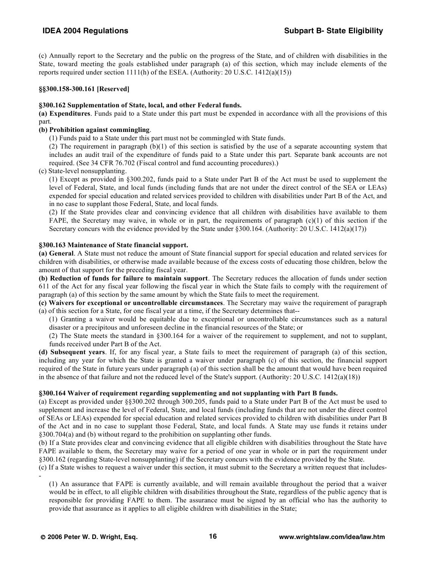(c) Annually report to the Secretary and the public on the progress of the State, and of children with disabilities in the State, toward meeting the goals established under paragraph (a) of this section, which may include elements of the reports required under section  $1111(h)$  of the ESEA. (Authority: 20 U.S.C. 1412(a)(15))

#### **§§300.158-300.161 [Reserved]**

#### **§300.162 Supplementation of State, local, and other Federal funds.**

**(a) Expenditures**. Funds paid to a State under this part must be expended in accordance with all the provisions of this part.

#### **(b) Prohibition against commingling**.

(1) Funds paid to a State under this part must not be commingled with State funds.

(2) The requirement in paragraph (b)(1) of this section is satisfied by the use of a separate accounting system that includes an audit trail of the expenditure of funds paid to a State under this part. Separate bank accounts are not required. (See 34 CFR 76.702 (Fiscal control and fund accounting procedures).)

(c) State-level nonsupplanting.

(1) Except as provided in §300.202, funds paid to a State under Part B of the Act must be used to supplement the level of Federal, State, and local funds (including funds that are not under the direct control of the SEA or LEAs) expended for special education and related services provided to children with disabilities under Part B of the Act, and in no case to supplant those Federal, State, and local funds.

(2) If the State provides clear and convincing evidence that all children with disabilities have available to them FAPE, the Secretary may waive, in whole or in part, the requirements of paragraph (c)(1) of this section if the Secretary concurs with the evidence provided by the State under §300.164. (Authority: 20 U.S.C. 1412(a)(17))

#### **§300.163 Maintenance of State financial support.**

**(a) General**. A State must not reduce the amount of State financial support for special education and related services for children with disabilities, or otherwise made available because of the excess costs of educating those children, below the amount of that support for the preceding fiscal year.

**(b) Reduction of funds for failure to maintain support**. The Secretary reduces the allocation of funds under section 611 of the Act for any fiscal year following the fiscal year in which the State fails to comply with the requirement of paragraph (a) of this section by the same amount by which the State fails to meet the requirement.

**(c) Waivers for exceptional or uncontrollable circumstances**. The Secretary may waive the requirement of paragraph (a) of this section for a State, for one fiscal year at a time, if the Secretary determines that--

(1) Granting a waiver would be equitable due to exceptional or uncontrollable circumstances such as a natural disaster or a precipitous and unforeseen decline in the financial resources of the State; or

(2) The State meets the standard in §300.164 for a waiver of the requirement to supplement, and not to supplant, funds received under Part B of the Act.

**(d) Subsequent years**. If, for any fiscal year, a State fails to meet the requirement of paragraph (a) of this section, including any year for which the State is granted a waiver under paragraph (c) of this section, the financial support required of the State in future years under paragraph (a) of this section shall be the amount that would have been required in the absence of that failure and not the reduced level of the State's support. (Authority: 20 U.S.C. 1412(a)(18))

#### **§300.164 Waiver of requirement regarding supplementing and not supplanting with Part B funds.**

(a) Except as provided under §§300.202 through 300.205, funds paid to a State under Part B of the Act must be used to supplement and increase the level of Federal, State, and local funds (including funds that are not under the direct control of SEAs or LEAs) expended for special education and related services provided to children with disabilities under Part B of the Act and in no case to supplant those Federal, State, and local funds. A State may use funds it retains under §300.704(a) and (b) without regard to the prohibition on supplanting other funds.

(b) If a State provides clear and convincing evidence that all eligible children with disabilities throughout the State have FAPE available to them, the Secretary may waive for a period of one year in whole or in part the requirement under §300.162 (regarding State-level nonsupplanting) if the Secretary concurs with the evidence provided by the State.

(c) If a State wishes to request a waiver under this section, it must submit to the Secretary a written request that includes-

(1) An assurance that FAPE is currently available, and will remain available throughout the period that a waiver would be in effect, to all eligible children with disabilities throughout the State, regardless of the public agency that is responsible for providing FAPE to them. The assurance must be signed by an official who has the authority to provide that assurance as it applies to all eligible children with disabilities in the State;

-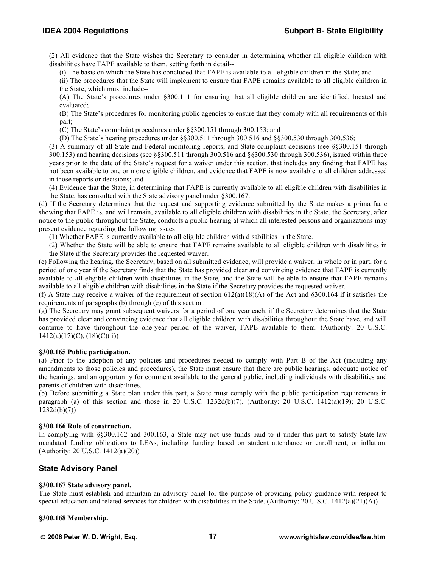(2) All evidence that the State wishes the Secretary to consider in determining whether all eligible children with disabilities have FAPE available to them, setting forth in detail--

(i) The basis on which the State has concluded that FAPE is available to all eligible children in the State; and

(ii) The procedures that the State will implement to ensure that FAPE remains available to all eligible children in the State, which must include--

(A) The State's procedures under §300.111 for ensuring that all eligible children are identified, located and evaluated;

(B) The State's procedures for monitoring public agencies to ensure that they comply with all requirements of this part;

(C) The State's complaint procedures under §§300.151 through 300.153; and

(D) The State's hearing procedures under §§300.511 through 300.516 and §§300.530 through 300.536;

(3) A summary of all State and Federal monitoring reports, and State complaint decisions (see §§300.151 through 300.153) and hearing decisions (see §§300.511 through 300.516 and §§300.530 through 300.536), issued within three years prior to the date of the State's request for a waiver under this section, that includes any finding that FAPE has not been available to one or more eligible children, and evidence that FAPE is now available to all children addressed in those reports or decisions; and

(4) Evidence that the State, in determining that FAPE is currently available to all eligible children with disabilities in the State, has consulted with the State advisory panel under §300.167.

(d) If the Secretary determines that the request and supporting evidence submitted by the State makes a prima facie showing that FAPE is, and will remain, available to all eligible children with disabilities in the State, the Secretary, after notice to the public throughout the State, conducts a public hearing at which all interested persons and organizations may present evidence regarding the following issues:

(1) Whether FAPE is currently available to all eligible children with disabilities in the State.

(2) Whether the State will be able to ensure that FAPE remains available to all eligible children with disabilities in the State if the Secretary provides the requested waiver.

(e) Following the hearing, the Secretary, based on all submitted evidence, will provide a waiver, in whole or in part, for a period of one year if the Secretary finds that the State has provided clear and convincing evidence that FAPE is currently available to all eligible children with disabilities in the State, and the State will be able to ensure that FAPE remains available to all eligible children with disabilities in the State if the Secretary provides the requested waiver.

(f) A State may receive a waiver of the requirement of section  $612(a)(18)(A)$  of the Act and §300.164 if it satisfies the requirements of paragraphs (b) through (e) of this section.

(g) The Secretary may grant subsequent waivers for a period of one year each, if the Secretary determines that the State has provided clear and convincing evidence that all eligible children with disabilities throughout the State have, and will continue to have throughout the one-year period of the waiver, FAPE available to them. (Authority: 20 U.S.C. 1412(a)(17)(C), (18)(C)(ii))

#### **§300.165 Public participation.**

(a) Prior to the adoption of any policies and procedures needed to comply with Part B of the Act (including any amendments to those policies and procedures), the State must ensure that there are public hearings, adequate notice of the hearings, and an opportunity for comment available to the general public, including individuals with disabilities and parents of children with disabilities.

(b) Before submitting a State plan under this part, a State must comply with the public participation requirements in paragraph (a) of this section and those in 20 U.S.C. 1232d(b)(7). (Authority: 20 U.S.C. 1412(a)(19); 20 U.S.C.  $1232d(b)(7)$ 

#### **§300.166 Rule of construction.**

In complying with §§300.162 and 300.163, a State may not use funds paid to it under this part to satisfy State-law mandated funding obligations to LEAs, including funding based on student attendance or enrollment, or inflation. (Authority: 20 U.S.C. 1412(a)(20))

## **State Advisory Panel**

#### **§300.167 State advisory panel.**

The State must establish and maintain an advisory panel for the purpose of providing policy guidance with respect to special education and related services for children with disabilities in the State. (Authority:  $20 \text{ U.S.C. } 1412(a)(21)(\text{A})$ )

**§300.168 Membership.**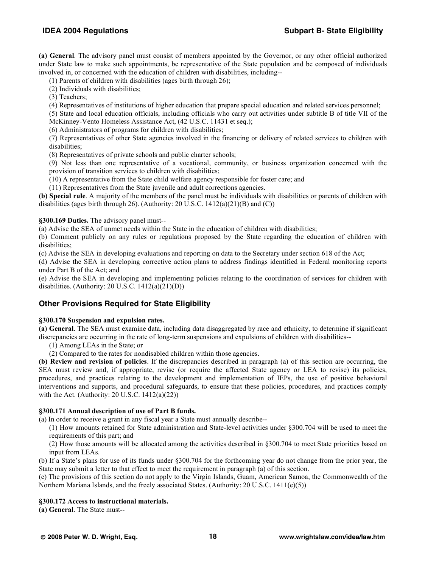**(a) General**. The advisory panel must consist of members appointed by the Governor, or any other official authorized under State law to make such appointments, be representative of the State population and be composed of individuals involved in, or concerned with the education of children with disabilities, including--

(1) Parents of children with disabilities (ages birth through 26);

(2) Individuals with disabilities;

(3) Teachers;

(4) Representatives of institutions of higher education that prepare special education and related services personnel;

(5) State and local education officials, including officials who carry out activities under subtitle B of title VII of the McKinney-Vento Homeless Assistance Act, (42 U.S.C. 11431 et seq.);

(6) Administrators of programs for children with disabilities;

(7) Representatives of other State agencies involved in the financing or delivery of related services to children with disabilities;

(8) Representatives of private schools and public charter schools;

(9) Not less than one representative of a vocational, community, or business organization concerned with the provision of transition services to children with disabilities;

(10) A representative from the State child welfare agency responsible for foster care; and

(11) Representatives from the State juvenile and adult corrections agencies.

**(b) Special rule**. A majority of the members of the panel must be individuals with disabilities or parents of children with disabilities (ages birth through 26). (Authority:  $20 \text{ U.S.C. } 1412(a)(21)(B)$  and (C))

**§300.169 Duties.** The advisory panel must--

(a) Advise the SEA of unmet needs within the State in the education of children with disabilities;

(b) Comment publicly on any rules or regulations proposed by the State regarding the education of children with disabilities;

(c) Advise the SEA in developing evaluations and reporting on data to the Secretary under section 618 of the Act;

(d) Advise the SEA in developing corrective action plans to address findings identified in Federal monitoring reports under Part B of the Act; and

(e) Advise the SEA in developing and implementing policies relating to the coordination of services for children with disabilities. (Authority:  $20$  U.S.C.  $1412(a)(21)(D)$ )

## **Other Provisions Required for State Eligibility**

#### **§300.170 Suspension and expulsion rates.**

**(a) General**. The SEA must examine data, including data disaggregated by race and ethnicity, to determine if significant discrepancies are occurring in the rate of long-term suspensions and expulsions of children with disabilities--

(1) Among LEAs in the State; or

(2) Compared to the rates for nondisabled children within those agencies.

**(b) Review and revision of policies**. If the discrepancies described in paragraph (a) of this section are occurring, the SEA must review and, if appropriate, revise (or require the affected State agency or LEA to revise) its policies, procedures, and practices relating to the development and implementation of IEPs, the use of positive behavioral interventions and supports, and procedural safeguards, to ensure that these policies, procedures, and practices comply with the Act. (Authority:  $20$  U.S.C.  $1412(a)(22)$ )

#### **§300.171 Annual description of use of Part B funds.**

(a) In order to receive a grant in any fiscal year a State must annually describe--

(1) How amounts retained for State administration and State-level activities under §300.704 will be used to meet the requirements of this part; and

(2) How those amounts will be allocated among the activities described in §300.704 to meet State priorities based on input from LEAs.

(b) If a State's plans for use of its funds under §300.704 for the forthcoming year do not change from the prior year, the State may submit a letter to that effect to meet the requirement in paragraph (a) of this section.

(c) The provisions of this section do not apply to the Virgin Islands, Guam, American Samoa, the Commonwealth of the Northern Mariana Islands, and the freely associated States. (Authority: 20 U.S.C. 1411(e)(5))

## **§300.172 Access to instructional materials.**

**(a) General**. The State must--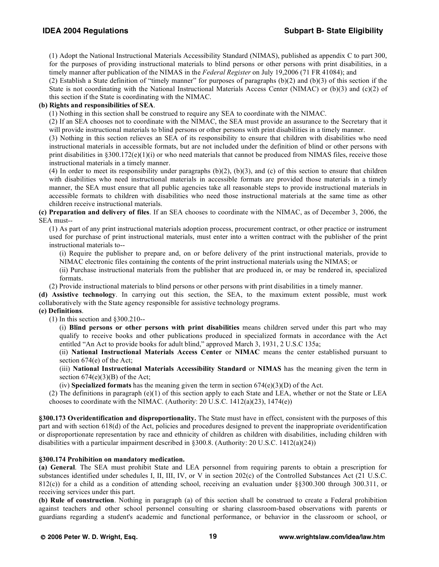(1) Adopt the National Instructional Materials Accessibility Standard (NIMAS), published as appendix C to part 300, for the purposes of providing instructional materials to blind persons or other persons with print disabilities, in a timely manner after publication of the NIMAS in the *Federal Register* on July 19,2006 (71 FR 41084); and

(2) Establish a State definition of "timely manner" for purposes of paragraphs  $(b)(2)$  and  $(b)(3)$  of this section if the State is not coordinating with the National Instructional Materials Access Center (NIMAC) or (b)(3) and (c)(2) of this section if the State is coordinating with the NIMAC.

#### **(b) Rights and responsibilities of SEA**.

(1) Nothing in this section shall be construed to require any SEA to coordinate with the NIMAC.

(2) If an SEA chooses not to coordinate with the NIMAC, the SEA must provide an assurance to the Secretary that it will provide instructional materials to blind persons or other persons with print disabilities in a timely manner.

(3) Nothing in this section relieves an SEA of its responsibility to ensure that children with disabilities who need instructional materials in accessible formats, but are not included under the definition of blind or other persons with print disabilities in  $$300.172(e)(1)(i)$  or who need materials that cannot be produced from NIMAS files, receive those instructional materials in a timely manner.

(4) In order to meet its responsibility under paragraphs  $(b)(2)$ ,  $(b)(3)$ , and  $(c)$  of this section to ensure that children with disabilities who need instructional materials in accessible formats are provided those materials in a timely manner, the SEA must ensure that all public agencies take all reasonable steps to provide instructional materials in accessible formats to children with disabilities who need those instructional materials at the same time as other children receive instructional materials.

**(c) Preparation and delivery of files**. If an SEA chooses to coordinate with the NIMAC, as of December 3, 2006, the SEA must--

(1) As part of any print instructional materials adoption process, procurement contract, or other practice or instrument used for purchase of print instructional materials, must enter into a written contract with the publisher of the print instructional materials to--

(i) Require the publisher to prepare and, on or before delivery of the print instructional materials, provide to NIMAC electronic files containing the contents of the print instructional materials using the NIMAS; or

(ii) Purchase instructional materials from the publisher that are produced in, or may be rendered in, specialized formats.

(2) Provide instructional materials to blind persons or other persons with print disabilities in a timely manner.

**(d) Assistive technology**. In carrying out this section, the SEA, to the maximum extent possible, must work collaboratively with the State agency responsible for assistive technology programs.

#### **(e) Definitions**.

(1) In this section and §300.210--

(i) **Blind persons or other persons with print disabilities** means children served under this part who may qualify to receive books and other publications produced in specialized formats in accordance with the Act entitled "An Act to provide books for adult blind," approved March 3, 1931, 2 U.S.C 135a;

(ii) **National Instructional Materials Access Center** or **NIMAC** means the center established pursuant to section 674(e) of the Act;

(iii) **National Instructional Materials Accessibility Standard** or **NIMAS** has the meaning given the term in section  $674(e)(3)(B)$  of the Act;

(iv) **Specialized formats** has the meaning given the term in section  $674(e)(3)(D)$  of the Act.

(2) The definitions in paragraph (e)(1) of this section apply to each State and LEA, whether or not the State or LEA chooses to coordinate with the NIMAC. (Authority:  $20 \text{ U.S.C. } 1412(a)(23), 1474(e)$ )

**§300.173 Overidentification and disproportionality.** The State must have in effect, consistent with the purposes of this part and with section 618(d) of the Act, policies and procedures designed to prevent the inappropriate overidentification or disproportionate representation by race and ethnicity of children as children with disabilities, including children with disabilities with a particular impairment described in §300.8. (Authority: 20 U.S.C. 1412(a)(24))

#### **§300.174 Prohibition on mandatory medication.**

**(a) General**. The SEA must prohibit State and LEA personnel from requiring parents to obtain a prescription for substances identified under schedules I, II, III, IV, or V in section 202(c) of the Controlled Substances Act (21 U.S.C. 812(c)) for a child as a condition of attending school, receiving an evaluation under §§300.300 through 300.311, or receiving services under this part.

**(b) Rule of construction**. Nothing in paragraph (a) of this section shall be construed to create a Federal prohibition against teachers and other school personnel consulting or sharing classroom-based observations with parents or guardians regarding a student's academic and functional performance, or behavior in the classroom or school, or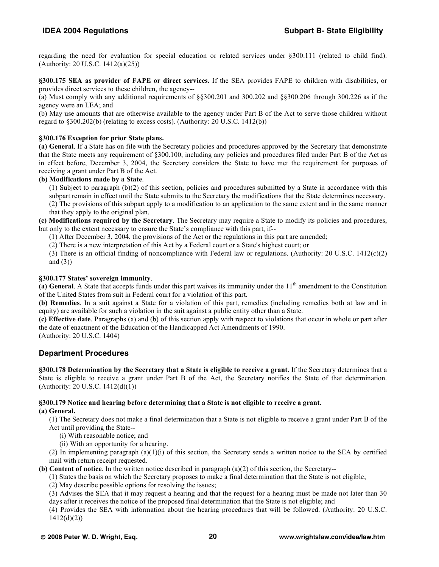regarding the need for evaluation for special education or related services under §300.111 (related to child find). (Authority: 20 U.S.C. 1412(a)(25))

**§300.175 SEA as provider of FAPE or direct services.** If the SEA provides FAPE to children with disabilities, or provides direct services to these children, the agency--

(a) Must comply with any additional requirements of §§300.201 and 300.202 and §§300.206 through 300.226 as if the agency were an LEA; and

(b) May use amounts that are otherwise available to the agency under Part B of the Act to serve those children without regard to §300.202(b) (relating to excess costs). (Authority: 20 U.S.C. 1412(b))

#### **§300.176 Exception for prior State plans.**

**(a) General**. If a State has on file with the Secretary policies and procedures approved by the Secretary that demonstrate that the State meets any requirement of §300.100, including any policies and procedures filed under Part B of the Act as in effect before, December 3, 2004, the Secretary considers the State to have met the requirement for purposes of receiving a grant under Part B of the Act.

#### **(b) Modifications made by a State**.

(1) Subject to paragraph (b)(2) of this section, policies and procedures submitted by a State in accordance with this subpart remain in effect until the State submits to the Secretary the modifications that the State determines necessary.

(2) The provisions of this subpart apply to a modification to an application to the same extent and in the same manner that they apply to the original plan.

**(c) Modifications required by the Secretary**. The Secretary may require a State to modify its policies and procedures, but only to the extent necessary to ensure the State's compliance with this part, if--

(1) After December 3, 2004, the provisions of the Act or the regulations in this part are amended;

(2) There is a new interpretation of this Act by a Federal court or a State's highest court; or

(3) There is an official finding of noncompliance with Federal law or regulations. (Authority: 20 U.S.C. 1412(c)(2) and  $(3)$ )

#### **§300.177 States' sovereign immunity**.

**(a) General**. A State that accepts funds under this part waives its immunity under the 11th amendment to the Constitution of the United States from suit in Federal court for a violation of this part.

**(b) Remedies**. In a suit against a State for a violation of this part, remedies (including remedies both at law and in equity) are available for such a violation in the suit against a public entity other than a State.

**(c) Effective date**. Paragraphs (a) and (b) of this section apply with respect to violations that occur in whole or part after the date of enactment of the Education of the Handicapped Act Amendments of 1990.

(Authority: 20 U.S.C. 1404)

## **Department Procedures**

**§300.178 Determination by the Secretary that a State is eligible to receive a grant.** If the Secretary determines that a State is eligible to receive a grant under Part B of the Act, the Secretary notifies the State of that determination. (Authority: 20 U.S.C. 1412(d)(1))

## **§300.179 Notice and hearing before determining that a State is not eligible to receive a grant.**

#### **(a) General.**

(1) The Secretary does not make a final determination that a State is not eligible to receive a grant under Part B of the Act until providing the State--

(i) With reasonable notice; and

(ii) With an opportunity for a hearing.

(2) In implementing paragraph  $(a)(1)(i)$  of this section, the Secretary sends a written notice to the SEA by certified mail with return receipt requested.

**(b) Content of notice**. In the written notice described in paragraph (a)(2) of this section, the Secretary--

(1) States the basis on which the Secretary proposes to make a final determination that the State is not eligible;

(2) May describe possible options for resolving the issues;

(3) Advises the SEA that it may request a hearing and that the request for a hearing must be made not later than 30 days after it receives the notice of the proposed final determination that the State is not eligible; and

(4) Provides the SEA with information about the hearing procedures that will be followed. (Authority: 20 U.S.C. 1412(d)(2))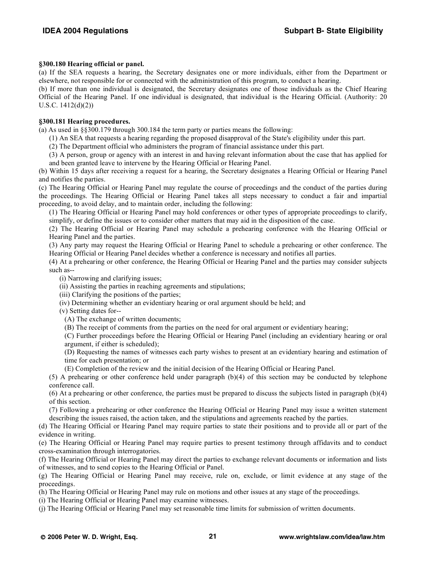#### **§300.180 Hearing official or panel.**

(a) If the SEA requests a hearing, the Secretary designates one or more individuals, either from the Department or elsewhere, not responsible for or connected with the administration of this program, to conduct a hearing.

(b) If more than one individual is designated, the Secretary designates one of those individuals as the Chief Hearing Official of the Hearing Panel. If one individual is designated, that individual is the Hearing Official. (Authority: 20 U.S.C. 1412(d)(2))

#### **§300.181 Hearing procedures.**

(a) As used in §§300.179 through 300.184 the term party or parties means the following:

(1) An SEA that requests a hearing regarding the proposed disapproval of the State's eligibility under this part.

(2) The Department official who administers the program of financial assistance under this part.

(3) A person, group or agency with an interest in and having relevant information about the case that has applied for and been granted leave to intervene by the Hearing Official or Hearing Panel.

(b) Within 15 days after receiving a request for a hearing, the Secretary designates a Hearing Official or Hearing Panel and notifies the parties.

(c) The Hearing Official or Hearing Panel may regulate the course of proceedings and the conduct of the parties during the proceedings. The Hearing Official or Hearing Panel takes all steps necessary to conduct a fair and impartial proceeding, to avoid delay, and to maintain order, including the following:

(1) The Hearing Official or Hearing Panel may hold conferences or other types of appropriate proceedings to clarify, simplify, or define the issues or to consider other matters that may aid in the disposition of the case.

(2) The Hearing Official or Hearing Panel may schedule a prehearing conference with the Hearing Official or Hearing Panel and the parties.

(3) Any party may request the Hearing Official or Hearing Panel to schedule a prehearing or other conference. The Hearing Official or Hearing Panel decides whether a conference is necessary and notifies all parties.

(4) At a prehearing or other conference, the Hearing Official or Hearing Panel and the parties may consider subjects such as--

(i) Narrowing and clarifying issues;

(ii) Assisting the parties in reaching agreements and stipulations;

(iii) Clarifying the positions of the parties;

(iv) Determining whether an evidentiary hearing or oral argument should be held; and

(v) Setting dates for--

(A) The exchange of written documents;

(B) The receipt of comments from the parties on the need for oral argument or evidentiary hearing;

(C) Further proceedings before the Hearing Official or Hearing Panel (including an evidentiary hearing or oral argument, if either is scheduled);

(D) Requesting the names of witnesses each party wishes to present at an evidentiary hearing and estimation of time for each presentation; or

(E) Completion of the review and the initial decision of the Hearing Official or Hearing Panel.

(5) A prehearing or other conference held under paragraph (b)(4) of this section may be conducted by telephone conference call.

(6) At a prehearing or other conference, the parties must be prepared to discuss the subjects listed in paragraph  $(b)(4)$ of this section.

(7) Following a prehearing or other conference the Hearing Official or Hearing Panel may issue a written statement describing the issues raised, the action taken, and the stipulations and agreements reached by the parties.

(d) The Hearing Official or Hearing Panel may require parties to state their positions and to provide all or part of the evidence in writing.

(e) The Hearing Official or Hearing Panel may require parties to present testimony through affidavits and to conduct cross-examination through interrogatories.

(f) The Hearing Official or Hearing Panel may direct the parties to exchange relevant documents or information and lists of witnesses, and to send copies to the Hearing Official or Panel.

(g) The Hearing Official or Hearing Panel may receive, rule on, exclude, or limit evidence at any stage of the proceedings.

(h) The Hearing Official or Hearing Panel may rule on motions and other issues at any stage of the proceedings.

(i) The Hearing Official or Hearing Panel may examine witnesses.

(j) The Hearing Official or Hearing Panel may set reasonable time limits for submission of written documents.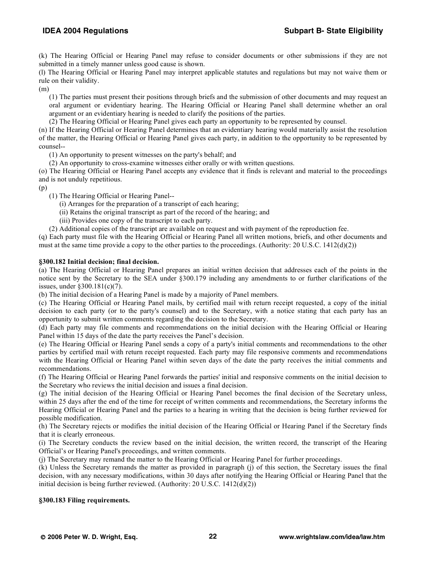(k) The Hearing Official or Hearing Panel may refuse to consider documents or other submissions if they are not submitted in a timely manner unless good cause is shown.

(l) The Hearing Official or Hearing Panel may interpret applicable statutes and regulations but may not waive them or rule on their validity.

(m)

(1) The parties must present their positions through briefs and the submission of other documents and may request an oral argument or evidentiary hearing. The Hearing Official or Hearing Panel shall determine whether an oral argument or an evidentiary hearing is needed to clarify the positions of the parties.

(2) The Hearing Official or Hearing Panel gives each party an opportunity to be represented by counsel.

(n) If the Hearing Official or Hearing Panel determines that an evidentiary hearing would materially assist the resolution of the matter, the Hearing Official or Hearing Panel gives each party, in addition to the opportunity to be represented by counsel--

(1) An opportunity to present witnesses on the party's behalf; and

(2) An opportunity to cross-examine witnesses either orally or with written questions.

(o) The Hearing Official or Hearing Panel accepts any evidence that it finds is relevant and material to the proceedings and is not unduly repetitious.

(p)

(1) The Hearing Official or Hearing Panel--

(i) Arranges for the preparation of a transcript of each hearing;

(ii) Retains the original transcript as part of the record of the hearing; and

(iii) Provides one copy of the transcript to each party.

(2) Additional copies of the transcript are available on request and with payment of the reproduction fee.

(q) Each party must file with the Hearing Official or Hearing Panel all written motions, briefs, and other documents and must at the same time provide a copy to the other parties to the proceedings. (Authority: 20 U.S.C. 1412(d)(2))

#### **§300.182 Initial decision; final decision.**

(a) The Hearing Official or Hearing Panel prepares an initial written decision that addresses each of the points in the notice sent by the Secretary to the SEA under §300.179 including any amendments to or further clarifications of the issues, under §300.181(c)(7).

(b) The initial decision of a Hearing Panel is made by a majority of Panel members.

(c) The Hearing Official or Hearing Panel mails, by certified mail with return receipt requested, a copy of the initial decision to each party (or to the party's counsel) and to the Secretary, with a notice stating that each party has an opportunity to submit written comments regarding the decision to the Secretary.

(d) Each party may file comments and recommendations on the initial decision with the Hearing Official or Hearing Panel within 15 days of the date the party receives the Panel's decision.

(e) The Hearing Official or Hearing Panel sends a copy of a party's initial comments and recommendations to the other parties by certified mail with return receipt requested. Each party may file responsive comments and recommendations with the Hearing Official or Hearing Panel within seven days of the date the party receives the initial comments and recommendations.

(f) The Hearing Official or Hearing Panel forwards the parties' initial and responsive comments on the initial decision to the Secretary who reviews the initial decision and issues a final decision.

(g) The initial decision of the Hearing Official or Hearing Panel becomes the final decision of the Secretary unless, within 25 days after the end of the time for receipt of written comments and recommendations, the Secretary informs the Hearing Official or Hearing Panel and the parties to a hearing in writing that the decision is being further reviewed for possible modification.

(h) The Secretary rejects or modifies the initial decision of the Hearing Official or Hearing Panel if the Secretary finds that it is clearly erroneous.

(i) The Secretary conducts the review based on the initial decision, the written record, the transcript of the Hearing Official's or Hearing Panel's proceedings, and written comments.

(j) The Secretary may remand the matter to the Hearing Official or Hearing Panel for further proceedings.

(k) Unless the Secretary remands the matter as provided in paragraph (j) of this section, the Secretary issues the final decision, with any necessary modifications, within 30 days after notifying the Hearing Official or Hearing Panel that the initial decision is being further reviewed. (Authority:  $20 \text{ U.S.C. } 1412(\text{d})(2)$ )

#### **§300.183 Filing requirements.**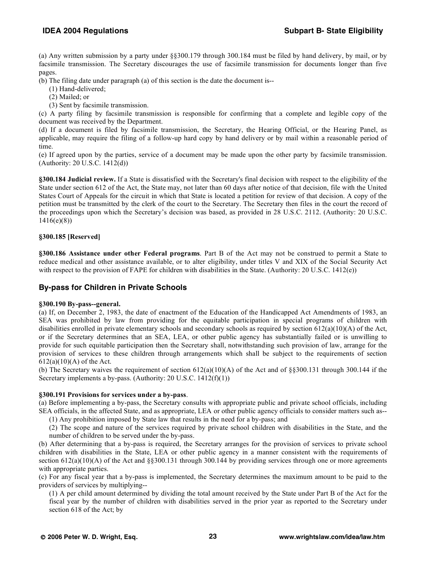(a) Any written submission by a party under §§300.179 through 300.184 must be filed by hand delivery, by mail, or by facsimile transmission. The Secretary discourages the use of facsimile transmission for documents longer than five pages.

(b) The filing date under paragraph (a) of this section is the date the document is--

- (1) Hand-delivered;
- (2) Mailed; or
- (3) Sent by facsimile transmission.

(c) A party filing by facsimile transmission is responsible for confirming that a complete and legible copy of the document was received by the Department.

(d) If a document is filed by facsimile transmission, the Secretary, the Hearing Official, or the Hearing Panel, as applicable, may require the filing of a follow-up hard copy by hand delivery or by mail within a reasonable period of time.

(e) If agreed upon by the parties, service of a document may be made upon the other party by facsimile transmission. (Authority: 20 U.S.C. 1412(d))

**§300.184 Judicial review.** If a State is dissatisfied with the Secretary's final decision with respect to the eligibility of the State under section 612 of the Act, the State may, not later than 60 days after notice of that decision, file with the United States Court of Appeals for the circuit in which that State is located a petition for review of that decision. A copy of the petition must be transmitted by the clerk of the court to the Secretary. The Secretary then files in the court the record of the proceedings upon which the Secretary's decision was based, as provided in 28 U.S.C. 2112. (Authority: 20 U.S.C. 1416(e)(8))

#### **§300.185 [Reserved]**

**§300.186 Assistance under other Federal programs**. Part B of the Act may not be construed to permit a State to reduce medical and other assistance available, or to alter eligibility, under titles V and XIX of the Social Security Act with respect to the provision of FAPE for children with disabilities in the State. (Authority: 20 U.S.C. 1412(e))

## **By-pass for Children in Private Schools**

#### **§300.190 By-pass--general.**

(a) If, on December 2, 1983, the date of enactment of the Education of the Handicapped Act Amendments of 1983, an SEA was prohibited by law from providing for the equitable participation in special programs of children with disabilities enrolled in private elementary schools and secondary schools as required by section  $612(a)(10)(A)$  of the Act, or if the Secretary determines that an SEA, LEA, or other public agency has substantially failed or is unwilling to provide for such equitable participation then the Secretary shall, notwithstanding such provision of law, arrange for the provision of services to these children through arrangements which shall be subject to the requirements of section  $612(a)(10)(A)$  of the Act.

(b) The Secretary waives the requirement of section  $612(a)(10)(A)$  of the Act and of §§300.131 through 300.144 if the Secretary implements a by-pass. (Authority: 20 U.S.C. 1412(f)(1))

#### **§300.191 Provisions for services under a by-pass**.

(a) Before implementing a by-pass, the Secretary consults with appropriate public and private school officials, including SEA officials, in the affected State, and as appropriate, LEA or other public agency officials to consider matters such as--

(1) Any prohibition imposed by State law that results in the need for a by-pass; and

(2) The scope and nature of the services required by private school children with disabilities in the State, and the number of children to be served under the by-pass.

(b) After determining that a by-pass is required, the Secretary arranges for the provision of services to private school children with disabilities in the State, LEA or other public agency in a manner consistent with the requirements of section  $612(a)(10)(A)$  of the Act and §§300.131 through 300.144 by providing services through one or more agreements with appropriate parties.

(c) For any fiscal year that a by-pass is implemented, the Secretary determines the maximum amount to be paid to the providers of services by multiplying--

(1) A per child amount determined by dividing the total amount received by the State under Part B of the Act for the fiscal year by the number of children with disabilities served in the prior year as reported to the Secretary under section 618 of the Act; by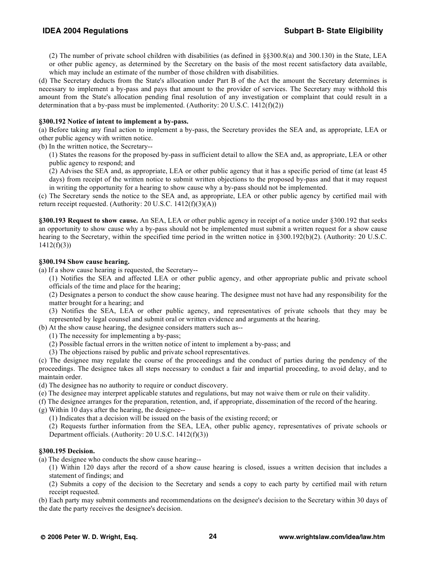(2) The number of private school children with disabilities (as defined in §§300.8(a) and 300.130) in the State, LEA or other public agency, as determined by the Secretary on the basis of the most recent satisfactory data available, which may include an estimate of the number of those children with disabilities.

(d) The Secretary deducts from the State's allocation under Part B of the Act the amount the Secretary determines is necessary to implement a by-pass and pays that amount to the provider of services. The Secretary may withhold this amount from the State's allocation pending final resolution of any investigation or complaint that could result in a determination that a by-pass must be implemented. (Authority: 20 U.S.C. 1412(f)(2))

## **§300.192 Notice of intent to implement a by-pass.**

(a) Before taking any final action to implement a by-pass, the Secretary provides the SEA and, as appropriate, LEA or other public agency with written notice.

(b) In the written notice, the Secretary--

(1) States the reasons for the proposed by-pass in sufficient detail to allow the SEA and, as appropriate, LEA or other public agency to respond; and

(2) Advises the SEA and, as appropriate, LEA or other public agency that it has a specific period of time (at least 45 days) from receipt of the written notice to submit written objections to the proposed by-pass and that it may request in writing the opportunity for a hearing to show cause why a by-pass should not be implemented.

(c) The Secretary sends the notice to the SEA and, as appropriate, LEA or other public agency by certified mail with return receipt requested. (Authority:  $20$  U.S.C.  $1412(f)(3)(A)$ )

**§300.193 Request to show cause.** An SEA, LEA or other public agency in receipt of a notice under §300.192 that seeks an opportunity to show cause why a by-pass should not be implemented must submit a written request for a show cause hearing to the Secretary, within the specified time period in the written notice in §300.192(b)(2). (Authority: 20 U.S.C.  $1412(f)(3)$ 

#### **§300.194 Show cause hearing.**

(a) If a show cause hearing is requested, the Secretary--

(1) Notifies the SEA and affected LEA or other public agency, and other appropriate public and private school officials of the time and place for the hearing;

(2) Designates a person to conduct the show cause hearing. The designee must not have had any responsibility for the matter brought for a hearing; and

(3) Notifies the SEA, LEA or other public agency, and representatives of private schools that they may be represented by legal counsel and submit oral or written evidence and arguments at the hearing.

(b) At the show cause hearing, the designee considers matters such as--

(1) The necessity for implementing a by-pass;

(2) Possible factual errors in the written notice of intent to implement a by-pass; and

(3) The objections raised by public and private school representatives.

(c) The designee may regulate the course of the proceedings and the conduct of parties during the pendency of the proceedings. The designee takes all steps necessary to conduct a fair and impartial proceeding, to avoid delay, and to maintain order.

(d) The designee has no authority to require or conduct discovery.

(e) The designee may interpret applicable statutes and regulations, but may not waive them or rule on their validity.

(f) The designee arranges for the preparation, retention, and, if appropriate, dissemination of the record of the hearing.

(g) Within 10 days after the hearing, the designee--

(1) Indicates that a decision will be issued on the basis of the existing record; or

(2) Requests further information from the SEA, LEA, other public agency, representatives of private schools or Department officials. (Authority: 20 U.S.C. 1412(f)(3))

#### **§300.195 Decision.**

(a) The designee who conducts the show cause hearing--

(1) Within 120 days after the record of a show cause hearing is closed, issues a written decision that includes a statement of findings; and

(2) Submits a copy of the decision to the Secretary and sends a copy to each party by certified mail with return receipt requested.

(b) Each party may submit comments and recommendations on the designee's decision to the Secretary within 30 days of the date the party receives the designee's decision.